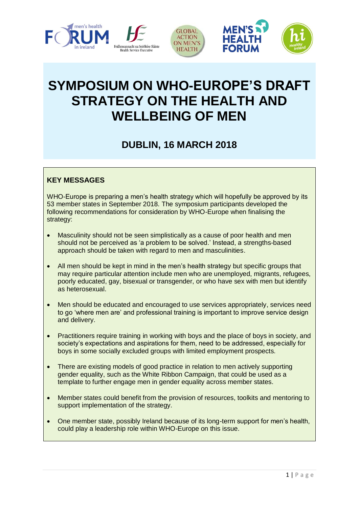

# **SYMPOSIUM ON WHO-EUROPE'S DRAFT STRATEGY ON THE HEALTH AND WELLBEING OF MEN**

## **DUBLIN, 16 MARCH 2018**

## **KEY MESSAGES**

WHO-Europe is preparing a men's health strategy which will hopefully be approved by its 53 member states in September 2018. The symposium participants developed the following recommendations for consideration by WHO-Europe when finalising the strategy:

- Masculinity should not be seen simplistically as a cause of poor health and men should not be perceived as 'a problem to be solved.' Instead, a strengths-based approach should be taken with regard to men and masculinities.
- All men should be kept in mind in the men's health strategy but specific groups that may require particular attention include men who are unemployed, migrants, refugees, poorly educated, gay, bisexual or transgender, or who have sex with men but identify as heterosexual.
- Men should be educated and encouraged to use services appropriately, services need to go 'where men are' and professional training is important to improve service design and delivery.
- Practitioners require training in working with boys and the place of boys in society, and society's expectations and aspirations for them, need to be addressed, especially for boys in some socially excluded groups with limited employment prospects.
- There are existing models of good practice in relation to men actively supporting gender equality, such as the White Ribbon Campaign, that could be used as a template to further engage men in gender equality across member states.
- Member states could benefit from the provision of resources, toolkits and mentoring to support implementation of the strategy.
- One member state, possibly Ireland because of its long-term support for men's health, could play a leadership role within WHO-Europe on this issue.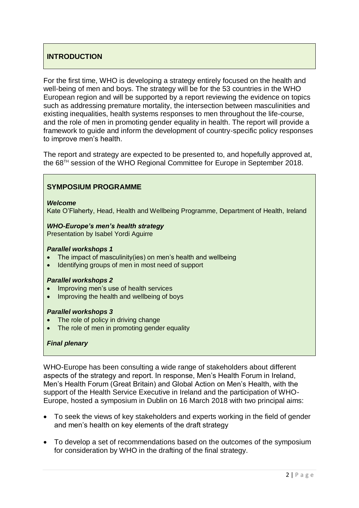## **INTRODUCTION**

For the first time, WHO is developing a strategy entirely focused on the health and well-being of men and boys. The strategy will be for the 53 countries in the WHO European region and will be supported by a report reviewing the evidence on topics such as addressing premature mortality, the intersection between masculinities and existing inequalities, health systems responses to men throughout the life-course, and the role of men in promoting gender equality in health. The report will provide a framework to guide and inform the development of country-specific policy responses to improve men's health.

The report and strategy are expected to be presented to, and hopefully approved at, the 68TH session of the WHO Regional Committee for Europe in September 2018.

#### **SYMPOSIUM PROGRAMME**

*Welcome*

Kate O'Flaherty, Head, Health and Wellbeing Programme, Department of Health, Ireland

#### *WHO-Europe's men's health strategy*

Presentation by Isabel Yordi Aguirre

#### *Parallel workshops 1*

- The impact of masculinity(ies) on men's health and wellbeing
- Identifying groups of men in most need of support

#### *Parallel workshops 2*

- Improving men's use of health services
- Improving the health and wellbeing of boys

#### *Parallel workshops 3*

- The role of policy in driving change
- The role of men in promoting gender equality

#### *Final plenary*

WHO-Europe has been consulting a wide range of stakeholders about different aspects of the strategy and report. In response, Men's Health Forum in Ireland, Men's Health Forum (Great Britain) and Global Action on Men's Health, with the support of the Health Service Executive in Ireland and the participation of WHO-Europe, hosted a symposium in Dublin on 16 March 2018 with two principal aims:

- To seek the views of key stakeholders and experts working in the field of gender and men's health on key elements of the draft strategy
- To develop a set of recommendations based on the outcomes of the symposium for consideration by WHO in the drafting of the final strategy.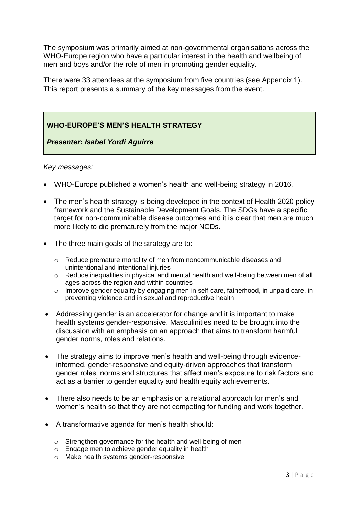The symposium was primarily aimed at non-governmental organisations across the WHO-Europe region who have a particular interest in the health and wellbeing of men and boys and/or the role of men in promoting gender equality.

There were 33 attendees at the symposium from five countries (see Appendix 1). This report presents a summary of the key messages from the event.

## **WHO-EUROPE'S MEN'S HEALTH STRATEGY**

*Presenter: Isabel Yordi Aguirre*

- WHO-Europe published a women's health and well-being strategy in 2016.
- The men's health strategy is being developed in the context of Health 2020 policy framework and the Sustainable Development Goals. The SDGs have a specific target for non-communicable disease outcomes and it is clear that men are much more likely to die prematurely from the major NCDs.
- The three main goals of the strategy are to:
	- o Reduce premature mortality of men from noncommunicable diseases and unintentional and intentional injuries
	- o Reduce inequalities in physical and mental health and well-being between men of all ages across the region and within countries
	- o Improve gender equality by engaging men in self-care, fatherhood, in unpaid care, in preventing violence and in sexual and reproductive health
- Addressing gender is an accelerator for change and it is important to make health systems gender-responsive. Masculinities need to be brought into the discussion with an emphasis on an approach that aims to transform harmful gender norms, roles and relations.
- The strategy aims to improve men's health and well-being through evidenceinformed, gender-responsive and equity-driven approaches that transform gender roles, norms and structures that affect men's exposure to risk factors and act as a barrier to gender equality and health equity achievements.
- There also needs to be an emphasis on a relational approach for men's and women's health so that they are not competing for funding and work together.
- A transformative agenda for men's health should:
	- o Strengthen governance for the health and well-being of men
	- o Engage men to achieve gender equality in health
	- o Make health systems gender-responsive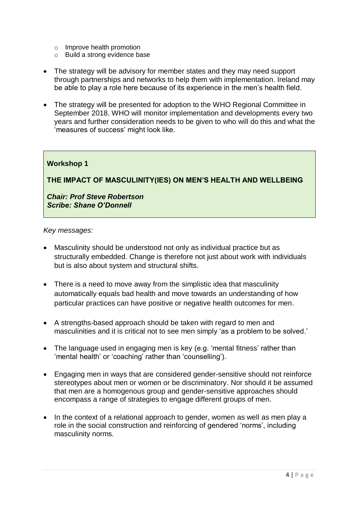- o Improve health promotion
- o Build a strong evidence base
- The strategy will be advisory for member states and they may need support through partnerships and networks to help them with implementation. Ireland may be able to play a role here because of its experience in the men's health field.
- The strategy will be presented for adoption to the WHO Regional Committee in September 2018. WHO will monitor implementation and developments every two years and further consideration needs to be given to who will do this and what the 'measures of success' might look like.

**THE IMPACT OF MASCULINITY(IES) ON MEN'S HEALTH AND WELLBEING**

*Chair: Prof Steve Robertson Scribe: Shane O'Donnell*

- Masculinity should be understood not only as individual practice but as structurally embedded. Change is therefore not just about work with individuals but is also about system and structural shifts.
- There is a need to move away from the simplistic idea that masculinity automatically equals bad health and move towards an understanding of how particular practices can have positive or negative health outcomes for men.
- A strengths-based approach should be taken with regard to men and masculinities and it is critical not to see men simply 'as a problem to be solved.'
- The language used in engaging men is key (e.g. 'mental fitness' rather than 'mental health' or 'coaching' rather than 'counselling').
- Engaging men in ways that are considered gender-sensitive should not reinforce stereotypes about men or women or be discriminatory. Nor should it be assumed that men are a homogenous group and gender-sensitive approaches should encompass a range of strategies to engage different groups of men.
- In the context of a relational approach to gender, women as well as men play a role in the social construction and reinforcing of gendered 'norms', including masculinity norms.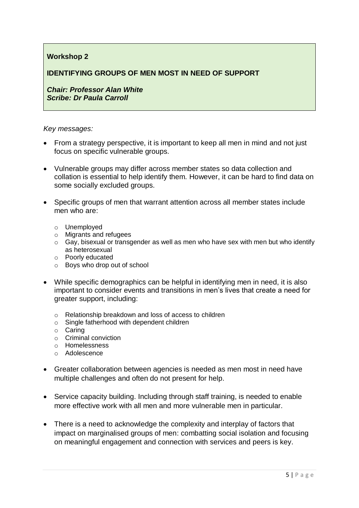#### **IDENTIFYING GROUPS OF MEN MOST IN NEED OF SUPPORT**

*Chair: Professor Alan White Scribe: Dr Paula Carroll*

- From a strategy perspective, it is important to keep all men in mind and not just focus on specific vulnerable groups.
- Vulnerable groups may differ across member states so data collection and collation is essential to help identify them. However, it can be hard to find data on some socially excluded groups.
- Specific groups of men that warrant attention across all member states include men who are:
	- o Unemployed
	- o Migrants and refugees
	- $\circ$  Gay, bisexual or transgender as well as men who have sex with men but who identify as heterosexual
	- o Poorly educated
	- o Boys who drop out of school
- While specific demographics can be helpful in identifying men in need, it is also important to consider events and transitions in men's lives that create a need for greater support, including:
	- o Relationship breakdown and loss of access to children
	- o Single fatherhood with dependent children
	- o Caring
	- o Criminal conviction
	- o Homelessness
	- o Adolescence
- Greater collaboration between agencies is needed as men most in need have multiple challenges and often do not present for help.
- Service capacity building. Including through staff training, is needed to enable more effective work with all men and more vulnerable men in particular.
- There is a need to acknowledge the complexity and interplay of factors that impact on marginalised groups of men: combatting social isolation and focusing on meaningful engagement and connection with services and peers is key.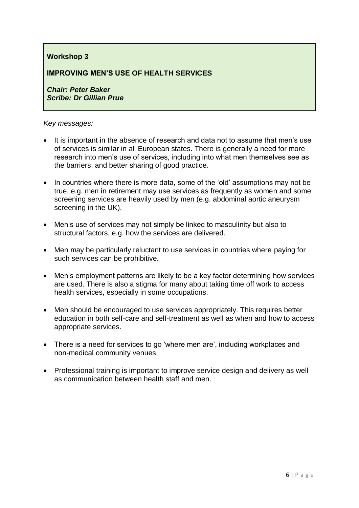## **IMPROVING MEN'S USE OF HEALTH SERVICES**

*Chair: Peter Baker Scribe: Dr Gillian Prue*

- It is important in the absence of research and data not to assume that men's use of services is similar in all European states. There is generally a need for more research into men's use of services, including into what men themselves see as the barriers, and better sharing of good practice.
- In countries where there is more data, some of the 'old' assumptions may not be true, e.g. men in retirement may use services as frequently as women and some screening services are heavily used by men (e.g. abdominal aortic aneurysm screening in the UK).
- Men's use of services may not simply be linked to masculinity but also to structural factors, e.g. how the services are delivered.
- Men may be particularly reluctant to use services in countries where paying for such services can be prohibitive.
- Men's employment patterns are likely to be a key factor determining how services are used. There is also a stigma for many about taking time off work to access health services, especially in some occupations.
- Men should be encouraged to use services appropriately. This requires better education in both self-care and self-treatment as well as when and how to access appropriate services.
- There is a need for services to go 'where men are', including workplaces and non-medical community venues.
- Professional training is important to improve service design and delivery as well as communication between health staff and men.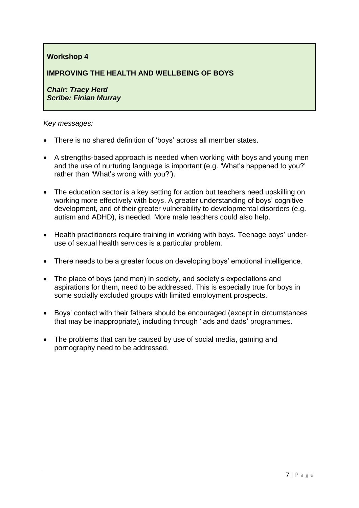## **IMPROVING THE HEALTH AND WELLBEING OF BOYS**

*Chair: Tracy Herd Scribe: Finian Murray*

- There is no shared definition of 'boys' across all member states.
- A strengths-based approach is needed when working with boys and young men and the use of nurturing language is important (e.g. 'What's happened to you?' rather than 'What's wrong with you?').
- The education sector is a key setting for action but teachers need upskilling on working more effectively with boys. A greater understanding of boys' cognitive development, and of their greater vulnerability to developmental disorders (e.g. autism and ADHD), is needed. More male teachers could also help.
- Health practitioners require training in working with boys. Teenage boys' underuse of sexual health services is a particular problem.
- There needs to be a greater focus on developing boys' emotional intelligence.
- The place of boys (and men) in society, and society's expectations and aspirations for them, need to be addressed. This is especially true for boys in some socially excluded groups with limited employment prospects.
- Boys' contact with their fathers should be encouraged (except in circumstances that may be inappropriate), including through 'lads and dads' programmes.
- The problems that can be caused by use of social media, gaming and pornography need to be addressed.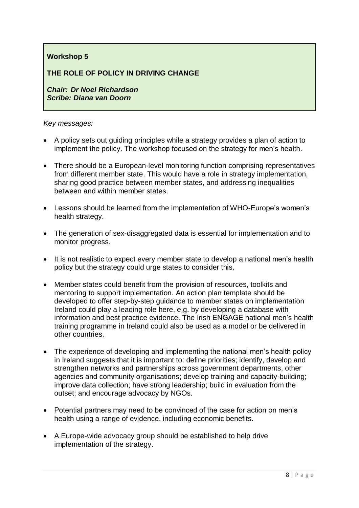## **THE ROLE OF POLICY IN DRIVING CHANGE**

*Chair: Dr Noel Richardson Scribe: Diana van Doorn*

- A policy sets out guiding principles while a strategy provides a plan of action to implement the policy. The workshop focused on the strategy for men's health.
- There should be a European-level monitoring function comprising representatives from different member state. This would have a role in strategy implementation, sharing good practice between member states, and addressing inequalities between and within member states.
- Lessons should be learned from the implementation of WHO-Europe's women's health strategy.
- The generation of sex-disaggregated data is essential for implementation and to monitor progress.
- It is not realistic to expect every member state to develop a national men's health policy but the strategy could urge states to consider this.
- Member states could benefit from the provision of resources, toolkits and mentoring to support implementation. An action plan template should be developed to offer step-by-step guidance to member states on implementation Ireland could play a leading role here, e.g. by developing a database with information and best practice evidence. The Irish ENGAGE national men's health training programme in Ireland could also be used as a model or be delivered in other countries.
- The experience of developing and implementing the national men's health policy in Ireland suggests that it is important to: define priorities; identify, develop and strengthen networks and partnerships across government departments, other agencies and community organisations; develop training and capacity-building; improve data collection; have strong leadership; build in evaluation from the outset; and encourage advocacy by NGOs.
- Potential partners may need to be convinced of the case for action on men's health using a range of evidence, including economic benefits.
- A Europe-wide advocacy group should be established to help drive implementation of the strategy.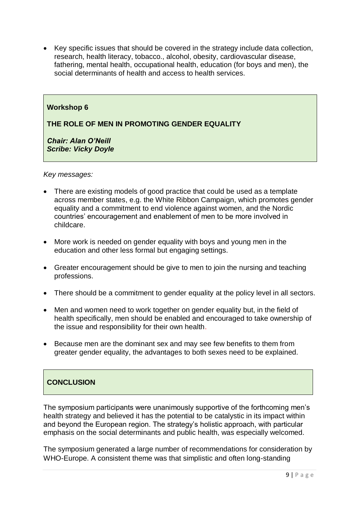• Key specific issues that should be covered in the strategy include data collection, research, health literacy, tobacco., alcohol, obesity, cardiovascular disease, fathering, mental health, occupational health, education (for boys and men), the social determinants of health and access to health services.

#### **Workshop 6**

#### **THE ROLE OF MEN IN PROMOTING GENDER EQUALITY**

*Chair: Alan O'Neill Scribe: Vicky Doyle*

#### *Key messages:*

- There are existing models of good practice that could be used as a template across member states, e.g. the White Ribbon Campaign, which promotes gender equality and a commitment to end violence against women, and the Nordic countries' encouragement and enablement of men to be more involved in childcare.
- More work is needed on gender equality with boys and young men in the education and other less formal but engaging settings.
- Greater encouragement should be give to men to join the nursing and teaching professions.
- There should be a commitment to gender equality at the policy level in all sectors.
- Men and women need to work together on gender equality but, in the field of health specifically, men should be enabled and encouraged to take ownership of the issue and responsibility for their own health.
- Because men are the dominant sex and may see few benefits to them from greater gender equality, the advantages to both sexes need to be explained.

## **CONCLUSION**

The symposium participants were unanimously supportive of the forthcoming men's health strategy and believed it has the potential to be catalystic in its impact within and beyond the European region. The strategy's holistic approach, with particular emphasis on the social determinants and public health, was especially welcomed.

The symposium generated a large number of recommendations for consideration by WHO-Europe. A consistent theme was that simplistic and often long-standing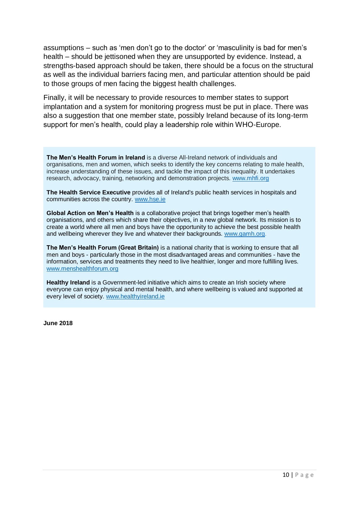assumptions – such as 'men don't go to the doctor' or 'masculinity is bad for men's health – should be jettisoned when they are unsupported by evidence. Instead, a strengths-based approach should be taken, there should be a focus on the structural as well as the individual barriers facing men, and particular attention should be paid to those groups of men facing the biggest health challenges.

Finally, it will be necessary to provide resources to member states to support implantation and a system for monitoring progress must be put in place. There was also a suggestion that one member state, possibly Ireland because of its long-term support for men's health, could play a leadership role within WHO-Europe.

**The Men's Health Forum in Ireland** is a diverse All-Ireland network of individuals and organisations, men and women, which seeks to identify the key concerns relating to male health, increase understanding of these issues, and tackle the impact of this inequality. It undertakes research, advocacy, training, networking and demonstration projects. [www.mhfi.org](http://www.mhfi.org/)

**The Health Service Executive** provides all of Ireland's public health services in hospitals and communities across the country. [www.hse.ie](http://www.hse.ie/)

**Global Action on Men's Health** is a collaborative project that brings together men's health organisations, and others which share their objectives, in a new global network. Its mission is to create a world where all men and boys have the opportunity to achieve the best possible health and wellbeing wherever they live and whatever their backgrounds. [www.gamh.org.](http://www.gamh.org/)

**The Men's Health Forum (Great Britain)** is a national charity that is working to ensure that all men and boys - particularly those in the most disadvantaged areas and communities - have the information, services and treatments they need to live healthier, longer and more fulfilling lives. [www.menshealthforum.org](http://www.menshealthforum.org/)

**Healthy Ireland** is a Government-led initiative which aims to create an Irish society where everyone can enjoy physical and mental health, and where wellbeing is valued and supported at every level of society. [www.healthyireland.ie](http://www.healthyireland.ie/)

**June 2018**